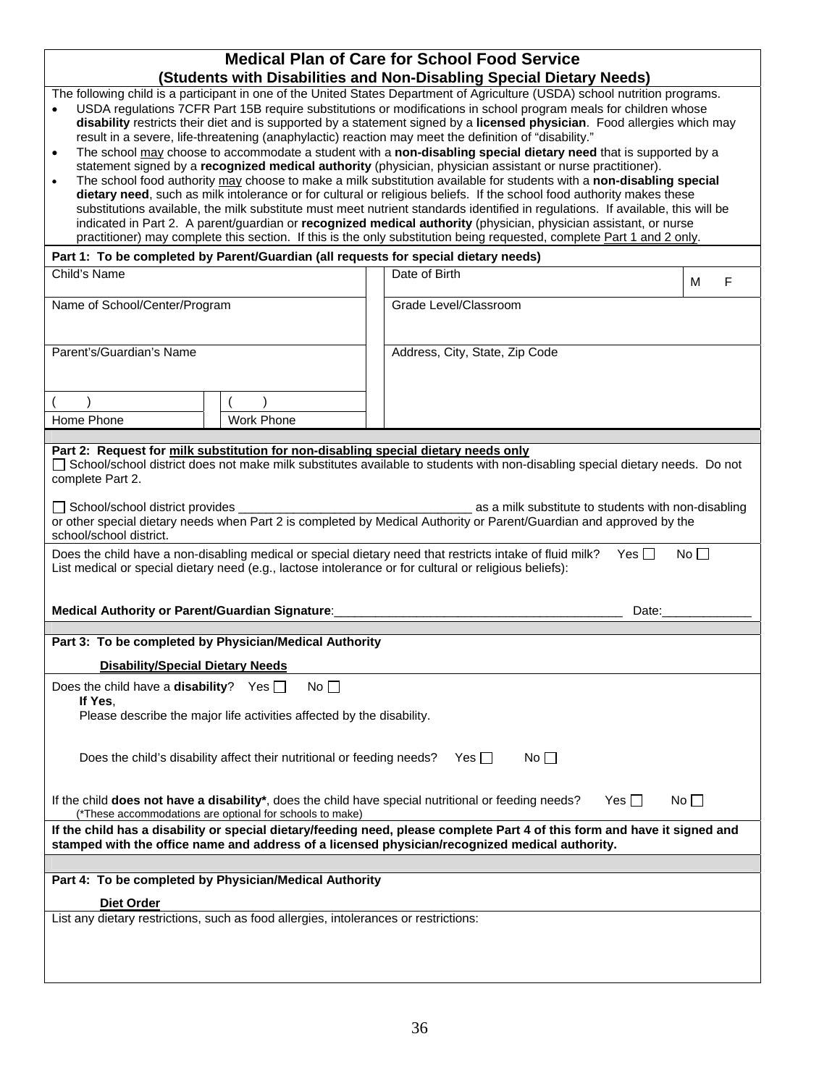| <b>Medical Plan of Care for School Food Service</b>                                                                                                                                                                                                                                                                                                                                                                                                                                                                                                                                                                                                                                                                                                                                                                                                                                                                                                                                                                                                                                                                                                                                                                                                                                                                                                                                                                                                                                                                                  |                                                        |                                |   |  |  |  |  |  |
|--------------------------------------------------------------------------------------------------------------------------------------------------------------------------------------------------------------------------------------------------------------------------------------------------------------------------------------------------------------------------------------------------------------------------------------------------------------------------------------------------------------------------------------------------------------------------------------------------------------------------------------------------------------------------------------------------------------------------------------------------------------------------------------------------------------------------------------------------------------------------------------------------------------------------------------------------------------------------------------------------------------------------------------------------------------------------------------------------------------------------------------------------------------------------------------------------------------------------------------------------------------------------------------------------------------------------------------------------------------------------------------------------------------------------------------------------------------------------------------------------------------------------------------|--------------------------------------------------------|--------------------------------|---|--|--|--|--|--|
|                                                                                                                                                                                                                                                                                                                                                                                                                                                                                                                                                                                                                                                                                                                                                                                                                                                                                                                                                                                                                                                                                                                                                                                                                                                                                                                                                                                                                                                                                                                                      |                                                        |                                |   |  |  |  |  |  |
| (Students with Disabilities and Non-Disabling Special Dietary Needs)<br>The following child is a participant in one of the United States Department of Agriculture (USDA) school nutrition programs.<br>USDA regulations 7CFR Part 15B require substitutions or modifications in school program meals for children whose<br>disability restricts their diet and is supported by a statement signed by a licensed physician. Food allergies which may<br>result in a severe, life-threatening (anaphylactic) reaction may meet the definition of "disability."<br>The school may choose to accommodate a student with a non-disabling special dietary need that is supported by a<br>$\bullet$<br>statement signed by a recognized medical authority (physician, physician assistant or nurse practitioner).<br>The school food authority may choose to make a milk substitution available for students with a non-disabling special<br>dietary need, such as milk intolerance or for cultural or religious beliefs. If the school food authority makes these<br>substitutions available, the milk substitute must meet nutrient standards identified in regulations. If available, this will be<br>indicated in Part 2. A parent/guardian or recognized medical authority (physician, physician assistant, or nurse<br>practitioner) may complete this section. If this is the only substitution being requested, complete Part 1 and 2 only.<br>Part 1: To be completed by Parent/Guardian (all requests for special dietary needs) |                                                        |                                |   |  |  |  |  |  |
| Child's Name                                                                                                                                                                                                                                                                                                                                                                                                                                                                                                                                                                                                                                                                                                                                                                                                                                                                                                                                                                                                                                                                                                                                                                                                                                                                                                                                                                                                                                                                                                                         |                                                        | Date of Birth                  | F |  |  |  |  |  |
|                                                                                                                                                                                                                                                                                                                                                                                                                                                                                                                                                                                                                                                                                                                                                                                                                                                                                                                                                                                                                                                                                                                                                                                                                                                                                                                                                                                                                                                                                                                                      |                                                        |                                | м |  |  |  |  |  |
| Name of School/Center/Program                                                                                                                                                                                                                                                                                                                                                                                                                                                                                                                                                                                                                                                                                                                                                                                                                                                                                                                                                                                                                                                                                                                                                                                                                                                                                                                                                                                                                                                                                                        |                                                        | Grade Level/Classroom          |   |  |  |  |  |  |
|                                                                                                                                                                                                                                                                                                                                                                                                                                                                                                                                                                                                                                                                                                                                                                                                                                                                                                                                                                                                                                                                                                                                                                                                                                                                                                                                                                                                                                                                                                                                      |                                                        |                                |   |  |  |  |  |  |
| Parent's/Guardian's Name                                                                                                                                                                                                                                                                                                                                                                                                                                                                                                                                                                                                                                                                                                                                                                                                                                                                                                                                                                                                                                                                                                                                                                                                                                                                                                                                                                                                                                                                                                             |                                                        | Address, City, State, Zip Code |   |  |  |  |  |  |
|                                                                                                                                                                                                                                                                                                                                                                                                                                                                                                                                                                                                                                                                                                                                                                                                                                                                                                                                                                                                                                                                                                                                                                                                                                                                                                                                                                                                                                                                                                                                      |                                                        |                                |   |  |  |  |  |  |
| Home Phone                                                                                                                                                                                                                                                                                                                                                                                                                                                                                                                                                                                                                                                                                                                                                                                                                                                                                                                                                                                                                                                                                                                                                                                                                                                                                                                                                                                                                                                                                                                           | <b>Work Phone</b>                                      |                                |   |  |  |  |  |  |
|                                                                                                                                                                                                                                                                                                                                                                                                                                                                                                                                                                                                                                                                                                                                                                                                                                                                                                                                                                                                                                                                                                                                                                                                                                                                                                                                                                                                                                                                                                                                      |                                                        |                                |   |  |  |  |  |  |
| Part 2: Request for milk substitution for non-disabling special dietary needs only<br>□ School/school district does not make milk substitutes available to students with non-disabling special dietary needs. Do not<br>complete Part 2.<br>School/school district provides<br>as a milk substitute to students with non-disabling<br>or other special dietary needs when Part 2 is completed by Medical Authority or Parent/Guardian and approved by the<br>school/school district.<br>Does the child have a non-disabling medical or special dietary need that restricts intake of fluid milk?<br>Yes $\Box$<br>No<br>List medical or special dietary need (e.g., lactose intolerance or for cultural or religious beliefs):                                                                                                                                                                                                                                                                                                                                                                                                                                                                                                                                                                                                                                                                                                                                                                                                       |                                                        |                                |   |  |  |  |  |  |
| Medical Authority or Parent/Guardian Signature:                                                                                                                                                                                                                                                                                                                                                                                                                                                                                                                                                                                                                                                                                                                                                                                                                                                                                                                                                                                                                                                                                                                                                                                                                                                                                                                                                                                                                                                                                      |                                                        | Date:                          |   |  |  |  |  |  |
|                                                                                                                                                                                                                                                                                                                                                                                                                                                                                                                                                                                                                                                                                                                                                                                                                                                                                                                                                                                                                                                                                                                                                                                                                                                                                                                                                                                                                                                                                                                                      | Part 3: To be completed by Physician/Medical Authority |                                |   |  |  |  |  |  |
| <b>Disability/Special Dietary Needs</b>                                                                                                                                                                                                                                                                                                                                                                                                                                                                                                                                                                                                                                                                                                                                                                                                                                                                                                                                                                                                                                                                                                                                                                                                                                                                                                                                                                                                                                                                                              |                                                        |                                |   |  |  |  |  |  |
|                                                                                                                                                                                                                                                                                                                                                                                                                                                                                                                                                                                                                                                                                                                                                                                                                                                                                                                                                                                                                                                                                                                                                                                                                                                                                                                                                                                                                                                                                                                                      |                                                        |                                |   |  |  |  |  |  |
| Does the child have a <b>disability</b> ? Yes $\Box$<br>$No$ $\Box$<br>If Yes.<br>Please describe the major life activities affected by the disability.                                                                                                                                                                                                                                                                                                                                                                                                                                                                                                                                                                                                                                                                                                                                                                                                                                                                                                                                                                                                                                                                                                                                                                                                                                                                                                                                                                              |                                                        |                                |   |  |  |  |  |  |
| $No \BoxDoes the child's disability affect their nutritional or feeding needs?Yes \Box$                                                                                                                                                                                                                                                                                                                                                                                                                                                                                                                                                                                                                                                                                                                                                                                                                                                                                                                                                                                                                                                                                                                                                                                                                                                                                                                                                                                                                                              |                                                        |                                |   |  |  |  |  |  |
| If the child does not have a disability*, does the child have special nutritional or feeding needs?<br>Yes $\Box$<br>No<br>(*These accommodations are optional for schools to make)                                                                                                                                                                                                                                                                                                                                                                                                                                                                                                                                                                                                                                                                                                                                                                                                                                                                                                                                                                                                                                                                                                                                                                                                                                                                                                                                                  |                                                        |                                |   |  |  |  |  |  |
| If the child has a disability or special dietary/feeding need, please complete Part 4 of this form and have it signed and<br>stamped with the office name and address of a licensed physician/recognized medical authority.                                                                                                                                                                                                                                                                                                                                                                                                                                                                                                                                                                                                                                                                                                                                                                                                                                                                                                                                                                                                                                                                                                                                                                                                                                                                                                          |                                                        |                                |   |  |  |  |  |  |
| Part 4: To be completed by Physician/Medical Authority                                                                                                                                                                                                                                                                                                                                                                                                                                                                                                                                                                                                                                                                                                                                                                                                                                                                                                                                                                                                                                                                                                                                                                                                                                                                                                                                                                                                                                                                               |                                                        |                                |   |  |  |  |  |  |
|                                                                                                                                                                                                                                                                                                                                                                                                                                                                                                                                                                                                                                                                                                                                                                                                                                                                                                                                                                                                                                                                                                                                                                                                                                                                                                                                                                                                                                                                                                                                      |                                                        |                                |   |  |  |  |  |  |
| Diet Order<br>List any dietary restrictions, such as food allergies, intolerances or restrictions:                                                                                                                                                                                                                                                                                                                                                                                                                                                                                                                                                                                                                                                                                                                                                                                                                                                                                                                                                                                                                                                                                                                                                                                                                                                                                                                                                                                                                                   |                                                        |                                |   |  |  |  |  |  |
|                                                                                                                                                                                                                                                                                                                                                                                                                                                                                                                                                                                                                                                                                                                                                                                                                                                                                                                                                                                                                                                                                                                                                                                                                                                                                                                                                                                                                                                                                                                                      |                                                        |                                |   |  |  |  |  |  |
|                                                                                                                                                                                                                                                                                                                                                                                                                                                                                                                                                                                                                                                                                                                                                                                                                                                                                                                                                                                                                                                                                                                                                                                                                                                                                                                                                                                                                                                                                                                                      |                                                        |                                |   |  |  |  |  |  |